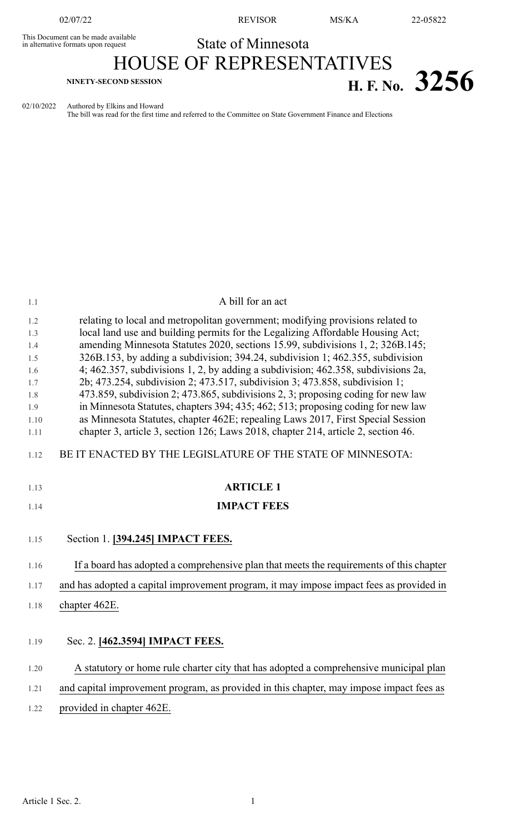This Document can be made available<br>in alternative formats upon request

02/07/22 REVISOR MS/KA 22-05822

# State of Minnesota HOUSE OF REPRESENTATIVES **H. F.** No. 3256

02/10/2022 Authored by Elkins and Howard

The bill was read for the first time and referred to the Committee on State Government Finance and Elections

| 1.1        | A bill for an act                                                                                                                                                    |
|------------|----------------------------------------------------------------------------------------------------------------------------------------------------------------------|
| 1.2        | relating to local and metropolitan government; modifying provisions related to                                                                                       |
| 1.3        | local land use and building permits for the Legalizing Affordable Housing Act;                                                                                       |
| 1.4        | amending Minnesota Statutes 2020, sections 15.99, subdivisions 1, 2; 326B.145;                                                                                       |
| 1.5        | 326B.153, by adding a subdivision; 394.24, subdivision 1; 462.355, subdivision                                                                                       |
| 1.6        | 4; 462.357, subdivisions 1, 2, by adding a subdivision; 462.358, subdivisions 2a,                                                                                    |
| 1.7        | 2b; 473.254, subdivision 2; 473.517, subdivision 3; 473.858, subdivision 1;                                                                                          |
| 1.8<br>1.9 | 473.859, subdivision 2; 473.865, subdivisions 2, 3; proposing coding for new law<br>in Minnesota Statutes, chapters 394; 435; 462; 513; proposing coding for new law |
| 1.10       | as Minnesota Statutes, chapter 462E; repealing Laws 2017, First Special Session                                                                                      |
| 1.11       | chapter 3, article 3, section 126; Laws 2018, chapter 214, article 2, section 46.                                                                                    |
| 1.12       | BE IT ENACTED BY THE LEGISLATURE OF THE STATE OF MINNESOTA:                                                                                                          |
| 1.13       | <b>ARTICLE 1</b>                                                                                                                                                     |
| 1.14       | <b>IMPACT FEES</b>                                                                                                                                                   |
|            |                                                                                                                                                                      |
| 1.15       | Section 1. [394.245] <b>IMPACT FEES.</b>                                                                                                                             |
| 1.16       | If a board has adopted a comprehensive plan that meets the requirements of this chapter                                                                              |
| 1.17       | and has adopted a capital improvement program, it may impose impact fees as provided in                                                                              |
| 1.18       | chapter 462E.                                                                                                                                                        |
|            |                                                                                                                                                                      |
| 1.19       | Sec. 2. [462.3594] IMPACT FEES.                                                                                                                                      |
|            |                                                                                                                                                                      |
| 1.20       | A statutory or home rule charter city that has adopted a comprehensive municipal plan                                                                                |
| 1.21       | and capital improvement program, as provided in this chapter, may impose impact fees as                                                                              |
| 1.22       | provided in chapter 462E.                                                                                                                                            |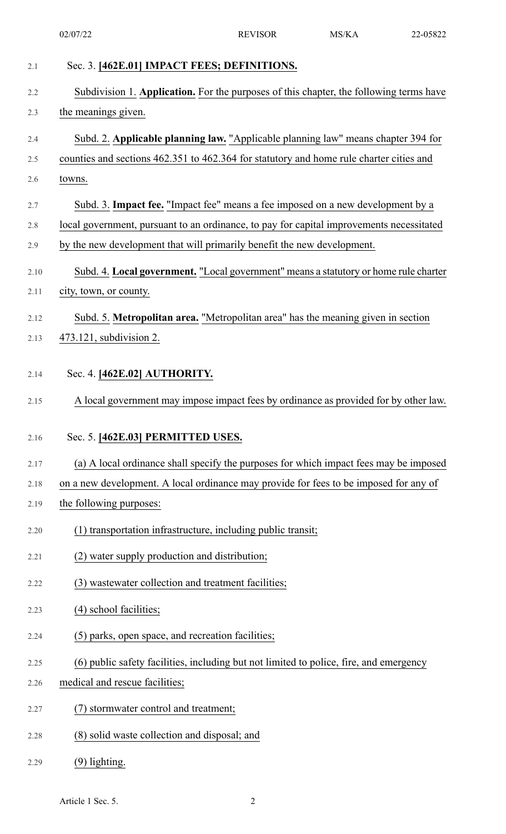| 2.1  | Sec. 3. [462E.01] IMPACT FEES; DEFINITIONS.                                              |
|------|------------------------------------------------------------------------------------------|
| 2.2  | Subdivision 1. Application. For the purposes of this chapter, the following terms have   |
| 2.3  | the meanings given.                                                                      |
| 2.4  | Subd. 2. Applicable planning law. "Applicable planning law" means chapter 394 for        |
| 2.5  | counties and sections 462.351 to 462.364 for statutory and home rule charter cities and  |
| 2.6  | towns.                                                                                   |
| 2.7  | Subd. 3. Impact fee. "Impact fee" means a fee imposed on a new development by a          |
| 2.8  | local government, pursuant to an ordinance, to pay for capital improvements necessitated |
| 2.9  | by the new development that will primarily benefit the new development.                  |
| 2.10 | Subd. 4. Local government. "Local government" means a statutory or home rule charter     |
| 2.11 | city, town, or county.                                                                   |
| 2.12 | Subd. 5. Metropolitan area. "Metropolitan area" has the meaning given in section         |
| 2.13 | 473.121, subdivision 2.                                                                  |
| 2.14 | Sec. 4. [462E.02] AUTHORITY.                                                             |
| 2.15 | A local government may impose impact fees by ordinance as provided for by other law.     |
| 2.16 | Sec. 5. [462E.03] PERMITTED USES.                                                        |
| 2.17 | (a) A local ordinance shall specify the purposes for which impact fees may be imposed    |
| 2.18 | on a new development. A local ordinance may provide for fees to be imposed for any of    |
| 2.19 | the following purposes:                                                                  |
| 2.20 | (1) transportation infrastructure, including public transit;                             |
| 2.21 | (2) water supply production and distribution;                                            |
| 2.22 | (3) wastewater collection and treatment facilities;                                      |
| 2.23 | (4) school facilities;                                                                   |
| 2.24 | (5) parks, open space, and recreation facilities;                                        |
| 2.25 | (6) public safety facilities, including but not limited to police, fire, and emergency   |
| 2.26 | medical and rescue facilities;                                                           |
| 2.27 | (7) stormwater control and treatment;                                                    |
| 2.28 | (8) solid waste collection and disposal; and                                             |
| 2.29 | $(9)$ lighting.                                                                          |

Article 1 Sec. 5. 2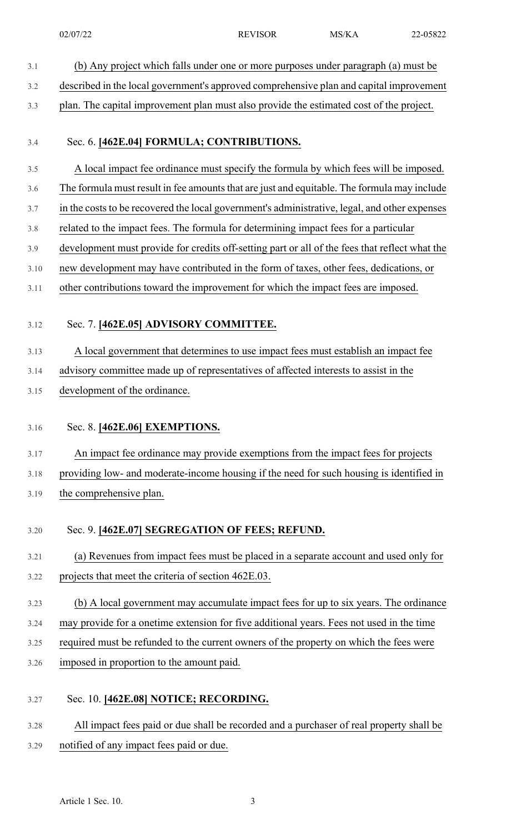3.1 (b) Any project which falls under one or more purposes under paragraph (a) must be 3.2 described in the local government's approved comprehensive plan and capital improvement 3.3 plan. The capital improvement plan must also provide the estimated cost of the project. 3.4 Sec. 6. **[462E.04] FORMULA; CONTRIBUTIONS.** 3.5 A local impact fee ordinance must specify the formula by which fees will be imposed. 3.6 The formula must result in fee amounts that are just and equitable. The formula may include 3.7 in the costs to be recovered the local government's administrative, legal, and other expenses 3.8 related to the impact fees. The formula for determining impact fees for a particular 3.9 development must provide for credits off-setting part or all of the fees that reflect what the 3.10 new development may have contributed in the form of taxes, other fees, dedications, or 3.11 other contributions toward the improvement for which the impact fees are imposed. 3.12 Sec. 7. **[462E.05] ADVISORY COMMITTEE.** 3.13 A local government that determines to use impact fees must establish an impact fee 3.14 advisory committee made up of representatives of affected interests to assist in the 3.15 development of the ordinance. 3.16 Sec. 8. **[462E.06] EXEMPTIONS.** 3.17 An impact fee ordinance may provide exemptions from the impact fees for projects 3.18 providing low- and moderate-income housing if the need for such housing is identified in 3.19 the comprehensive plan. 3.20 Sec. 9. **[462E.07] SEGREGATION OF FEES; REFUND.** 3.21 (a) Revenues from impact fees must be placed in a separate account and used only for 3.22 projects that meet the criteria of section 462E.03. 3.23 (b) A local government may accumulate impact fees for up to six years. The ordinance 3.24 may provide for a onetime extension for five additional years. Fees not used in the time 3.25 required must be refunded to the current owners of the property on which the fees were 3.26 imposed in proportion to the amount paid. 3.27 Sec. 10. **[462E.08] NOTICE; RECORDING.** 3.28 All impact fees paid or due shall be recorded and a purchaser of real property shall be 3.29 notified of any impact fees paid or due.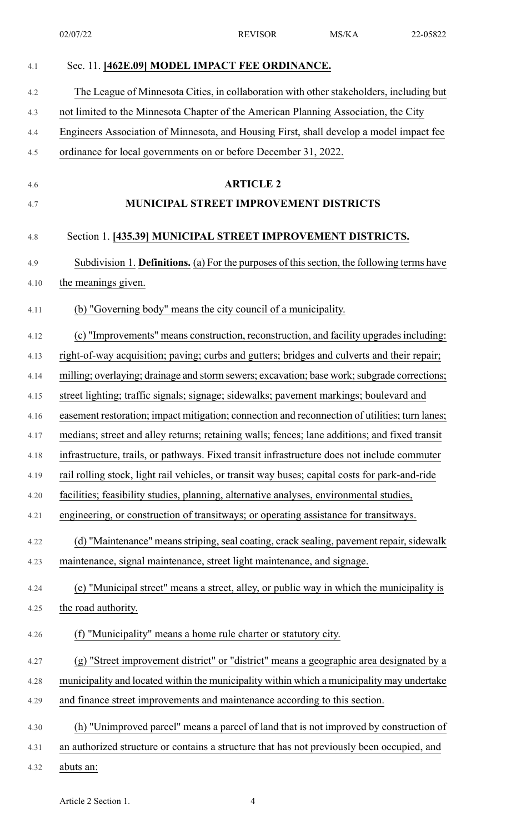| 4.1  | Sec. 11. [462E.09] MODEL IMPACT FEE ORDINANCE.                                                 |
|------|------------------------------------------------------------------------------------------------|
| 4.2  | The League of Minnesota Cities, in collaboration with other stakeholders, including but        |
| 4.3  | not limited to the Minnesota Chapter of the American Planning Association, the City            |
| 4.4  | Engineers Association of Minnesota, and Housing First, shall develop a model impact fee        |
| 4.5  | ordinance for local governments on or before December 31, 2022.                                |
| 4.6  | <b>ARTICLE 2</b>                                                                               |
| 4.7  | <b>MUNICIPAL STREET IMPROVEMENT DISTRICTS</b>                                                  |
|      |                                                                                                |
| 4.8  | Section 1. [435.39] MUNICIPAL STREET IMPROVEMENT DISTRICTS.                                    |
| 4.9  | Subdivision 1. Definitions. (a) For the purposes of this section, the following terms have     |
| 4.10 | the meanings given.                                                                            |
| 4.11 | (b) "Governing body" means the city council of a municipality.                                 |
| 4.12 | (c) "Improvements" means construction, reconstruction, and facility upgrades including:        |
| 4.13 | right-of-way acquisition; paving; curbs and gutters; bridges and culverts and their repair;    |
| 4.14 | milling; overlaying; drainage and storm sewers; excavation; base work; subgrade corrections;   |
| 4.15 | street lighting; traffic signals; signage; sidewalks; pavement markings; boulevard and         |
| 4.16 | easement restoration; impact mitigation; connection and reconnection of utilities; turn lanes; |
| 4.17 | medians; street and alley returns; retaining walls; fences; lane additions; and fixed transit  |
| 4.18 | infrastructure, trails, or pathways. Fixed transit infrastructure does not include commuter    |
| 4.19 | rail rolling stock, light rail vehicles, or transit way buses; capital costs for park-and-ride |
| 4.20 | facilities; feasibility studies, planning, alternative analyses, environmental studies,        |
| 4.21 | engineering, or construction of transitways; or operating assistance for transitways.          |
| 4.22 | (d) "Maintenance" means striping, seal coating, crack sealing, pavement repair, sidewalk       |
| 4.23 | maintenance, signal maintenance, street light maintenance, and signage.                        |
| 4.24 | (e) "Municipal street" means a street, alley, or public way in which the municipality is       |
| 4.25 | the road authority.                                                                            |
| 4.26 | "Municipality" means a home rule charter or statutory city.<br>(f)                             |
| 4.27 | (g) "Street improvement district" or "district" means a geographic area designated by a        |
| 4.28 | municipality and located within the municipality within which a municipality may undertake     |
| 4.29 | and finance street improvements and maintenance according to this section.                     |
| 4.30 | (h) "Unimproved parcel" means a parcel of land that is not improved by construction of         |
| 4.31 | an authorized structure or contains a structure that has not previously been occupied, and     |
| 4.32 | abuts an:                                                                                      |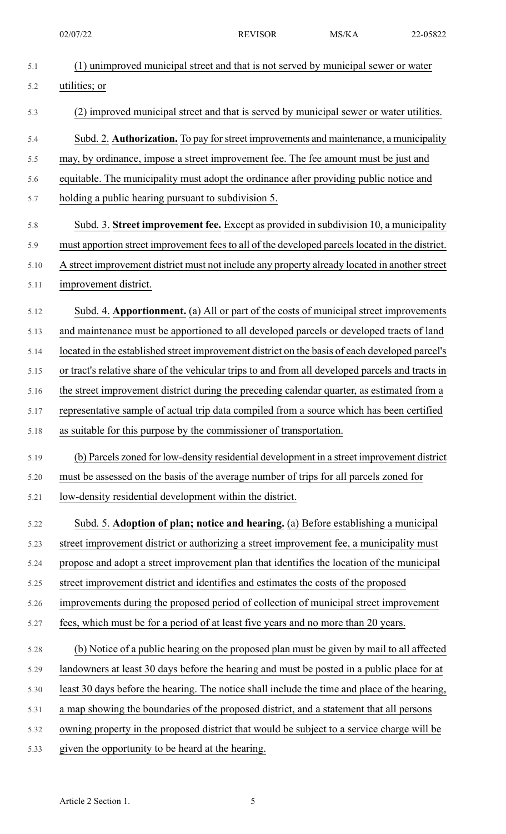| 5.1  | (1) unimproved municipal street and that is not served by municipal sewer or water               |
|------|--------------------------------------------------------------------------------------------------|
| 5.2  | utilities; or                                                                                    |
| 5.3  | (2) improved municipal street and that is served by municipal sewer or water utilities.          |
| 5.4  | Subd. 2. Authorization. To pay for street improvements and maintenance, a municipality           |
| 5.5  | may, by ordinance, impose a street improvement fee. The fee amount must be just and              |
| 5.6  | equitable. The municipality must adopt the ordinance after providing public notice and           |
| 5.7  | holding a public hearing pursuant to subdivision 5.                                              |
| 5.8  | Subd. 3. Street improvement fee. Except as provided in subdivision 10, a municipality            |
| 5.9  | must apportion street improvement fees to all of the developed parcels located in the district.  |
| 5.10 | A street improvement district must not include any property already located in another street    |
| 5.11 | improvement district.                                                                            |
| 5.12 | Subd. 4. Apportionment. (a) All or part of the costs of municipal street improvements            |
| 5.13 | and maintenance must be apportioned to all developed parcels or developed tracts of land         |
| 5.14 | located in the established street improvement district on the basis of each developed parcel's   |
| 5.15 | or tract's relative share of the vehicular trips to and from all developed parcels and tracts in |
| 5.16 | the street improvement district during the preceding calendar quarter, as estimated from a       |
| 5.17 | representative sample of actual trip data compiled from a source which has been certified        |
| 5.18 | as suitable for this purpose by the commissioner of transportation                               |
| 5.19 | (b) Parcels zoned for low-density residential development in a street improvement district       |
| 5.20 | must be assessed on the basis of the average number of trips for all parcels zoned for           |
| 5.21 | low-density residential development within the district.                                         |
| 5.22 | Subd. 5. Adoption of plan; notice and hearing. (a) Before establishing a municipal               |
| 5.23 | street improvement district or authorizing a street improvement fee, a municipality must         |
| 5.24 | propose and adopt a street improvement plan that identifies the location of the municipal        |
| 5.25 | street improvement district and identifies and estimates the costs of the proposed               |
| 5.26 | improvements during the proposed period of collection of municipal street improvement            |
| 5.27 | fees, which must be for a period of at least five years and no more than 20 years.               |
| 5.28 | (b) Notice of a public hearing on the proposed plan must be given by mail to all affected        |
| 5.29 | landowners at least 30 days before the hearing and must be posted in a public place for at       |
| 5.30 | least 30 days before the hearing. The notice shall include the time and place of the hearing,    |
| 5.31 | a map showing the boundaries of the proposed district, and a statement that all persons          |
| 5.32 | owning property in the proposed district that would be subject to a service charge will be       |
| 5.33 | given the opportunity to be heard at the hearing.                                                |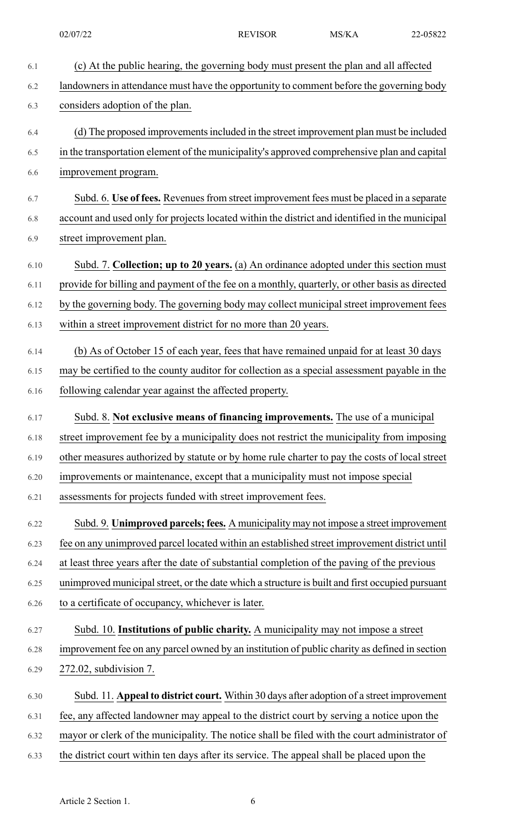| 6.1  | (c) At the public hearing, the governing body must present the plan and all affected            |
|------|-------------------------------------------------------------------------------------------------|
| 6.2  | landowners in attendance must have the opportunity to comment before the governing body         |
| 6.3  | considers adoption of the plan.                                                                 |
| 6.4  | (d) The proposed improvements included in the street improvement plan must be included          |
| 6.5  | in the transportation element of the municipality's approved comprehensive plan and capital     |
| 6.6  | improvement program.                                                                            |
| 6.7  | Subd. 6. Use of fees. Revenues from street improvement fees must be placed in a separate        |
| 6.8  | account and used only for projects located within the district and identified in the municipal  |
| 6.9  | street improvement plan.                                                                        |
| 6.10 | Subd. 7. Collection; up to 20 years. (a) An ordinance adopted under this section must           |
| 6.11 | provide for billing and payment of the fee on a monthly, quarterly, or other basis as directed  |
| 6.12 | by the governing body. The governing body may collect municipal street improvement fees         |
| 6.13 | within a street improvement district for no more than 20 years.                                 |
| 6.14 | (b) As of October 15 of each year, fees that have remained unpaid for at least 30 days          |
| 6.15 | may be certified to the county auditor for collection as a special assessment payable in the    |
| 6.16 | following calendar year against the affected property.                                          |
| 6.17 | Subd. 8. Not exclusive means of financing improvements. The use of a municipal                  |
| 6.18 | street improvement fee by a municipality does not restrict the municipality from imposing       |
| 6.19 | other measures authorized by statute or by home rule charter to pay the costs of local street   |
| 6.20 | improvements or maintenance, except that a municipality must not impose special                 |
| 6.21 | assessments for projects funded with street improvement fees.                                   |
| 6.22 | Subd. 9. Unimproved parcels; fees. A municipality may not impose a street improvement           |
| 6.23 | fee on any unimproved parcel located within an established street improvement district until    |
| 6.24 | at least three years after the date of substantial completion of the paving of the previous     |
| 6.25 | unimproved municipal street, or the date which a structure is built and first occupied pursuant |
| 6.26 | to a certificate of occupancy, whichever is later.                                              |
| 6.27 | Subd. 10. Institutions of public charity. A municipality may not impose a street                |
| 6.28 | improvement fee on any parcel owned by an institution of public charity as defined in section   |
| 6.29 | 272.02, subdivision 7.                                                                          |
| 6.30 | Subd. 11. Appeal to district court. Within 30 days after adoption of a street improvement       |
| 6.31 | fee, any affected landowner may appeal to the district court by serving a notice upon the       |
| 6.32 | mayor or clerk of the municipality. The notice shall be filed with the court administrator of   |
| 6.33 | the district court within ten days after its service. The appeal shall be placed upon the       |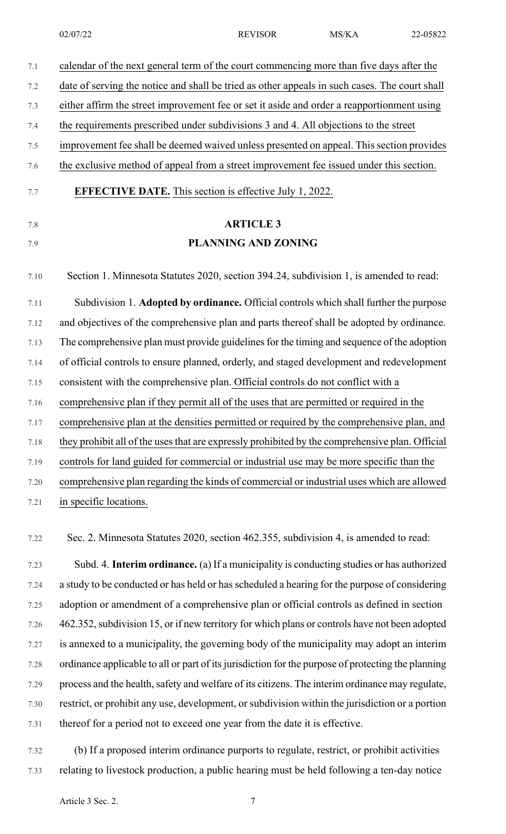| 7.1  | calendar of the next general term of the court commencing more than five days after the         |
|------|-------------------------------------------------------------------------------------------------|
| 7.2  | date of serving the notice and shall be tried as other appeals in such cases. The court shall   |
| 7.3  | either affirm the street improvement fee or set it aside and order a reapportionment using      |
| 7.4  | the requirements prescribed under subdivisions 3 and 4. All objections to the street            |
| 7.5  | improvement fee shall be deemed waived unless presented on appeal. This section provides        |
| 7.6  | the exclusive method of appeal from a street improvement fee issued under this section.         |
| 7.7  | <b>EFFECTIVE DATE.</b> This section is effective July 1, 2022.                                  |
| 7.8  | <b>ARTICLE 3</b>                                                                                |
| 7.9  | PLANNING AND ZONING                                                                             |
| 7.10 | Section 1. Minnesota Statutes 2020, section 394.24, subdivision 1, is amended to read:          |
| 7.11 | Subdivision 1. Adopted by ordinance. Official controls which shall further the purpose          |
| 7.12 | and objectives of the comprehensive plan and parts thereof shall be adopted by ordinance.       |
| 7.13 | The comprehensive plan must provide guidelines for the timing and sequence of the adoption      |
| 7.14 | of official controls to ensure planned, orderly, and staged development and redevelopment       |
| 7.15 | consistent with the comprehensive plan. Official controls do not conflict with a                |
| 7.16 | comprehensive plan if they permit all of the uses that are permitted or required in the         |
| 7.17 | comprehensive plan at the densities permitted or required by the comprehensive plan, and        |
| 7.18 | they prohibit all of the uses that are expressly prohibited by the comprehensive plan. Official |
| 7.19 | controls for land guided for commercial or industrial use may be more specific than the         |
| 7.20 | comprehensive plan regarding the kinds of commercial or industrial uses which are allowed       |
| 7.21 | in specific locations.                                                                          |
|      |                                                                                                 |

7.22 Sec. 2. Minnesota Statutes 2020, section 462.355, subdivision 4, is amended to read:

7.23 Subd. 4. **Interim ordinance.** (a) If a municipality is conducting studies or has authorized 7.24 a study to be conducted or has held or hasscheduled a hearing for the purpose of considering 7.25 adoption or amendment of a comprehensive plan or official controls as defined in section 7.26 462.352, subdivision 15, or if new territory for which plans or controls have not been adopted 7.27 is annexed to a municipality, the governing body of the municipality may adopt an interim 7.28 ordinance applicable to all or part of itsjurisdiction for the purpose of protecting the planning 7.29 process and the health, safety and welfare of its citizens. The interim ordinance may regulate, 7.30 restrict, or prohibit any use, development, or subdivision within the jurisdiction or a portion 7.31 thereof for a period not to exceed one year from the date it is effective.

7.32 (b) If a proposed interim ordinance purports to regulate, restrict, or prohibit activities 7.33 relating to livestock production, a public hearing must be held following a ten-day notice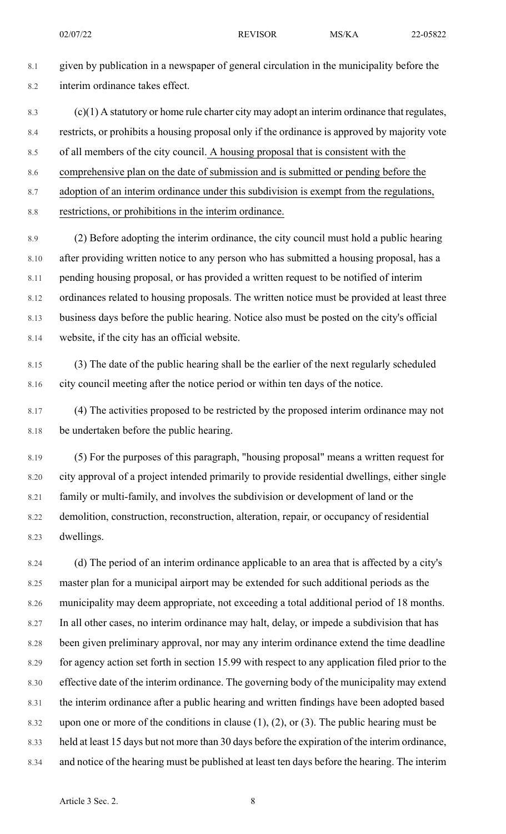8.1 given by publication in a newspaper of general circulation in the municipality before the 8.2 interim ordinance takes effect.

- 8.3  $(c)(1)$  A statutory or home rule charter city may adopt an interim ordinance that regulates, 8.4 restricts, or prohibits a housing proposal only if the ordinance is approved by majority vote 8.5 of all members of the city council. A housing proposal that is consistent with the 8.6 comprehensive plan on the date of submission and is submitted or pending before the
- 8.7 adoption of an interim ordinance under this subdivision is exempt from the regulations,
- 8.8 restrictions, or prohibitions in the interim ordinance.

8.9 (2) Before adopting the interim ordinance, the city council must hold a public hearing 8.10 after providing written notice to any person who has submitted a housing proposal, has a 8.11 pending housing proposal, or has provided a written request to be notified of interim 8.12 ordinances related to housing proposals. The written notice must be provided at least three 8.13 business days before the public hearing. Notice also must be posted on the city's official 8.14 website, if the city has an official website.

- 8.15 (3) The date of the public hearing shall be the earlier of the next regularly scheduled 8.16 city council meeting after the notice period or within ten days of the notice.
- 8.17 (4) The activities proposed to be restricted by the proposed interim ordinance may not 8.18 be undertaken before the public hearing.
- 8.19 (5) For the purposes of this paragraph, "housing proposal" means a written request for 8.20 city approval of a project intended primarily to provide residential dwellings, either single 8.21 family or multi-family, and involves the subdivision or development of land or the 8.22 demolition, construction, reconstruction, alteration, repair, or occupancy of residential 8.23 dwellings.

8.24 (d) The period of an interim ordinance applicable to an area that is affected by a city's 8.25 master plan for a municipal airport may be extended for such additional periods as the 8.26 municipality may deem appropriate, not exceeding a total additional period of 18 months. 8.27 In all other cases, no interim ordinance may halt, delay, or impede a subdivision that has 8.28 been given preliminary approval, nor may any interim ordinance extend the time deadline 8.29 for agency action set forth in section 15.99 with respect to any application filed prior to the 8.30 effective date of the interim ordinance. The governing body of the municipality may extend 8.31 the interim ordinance after a public hearing and written findings have been adopted based 8.32 upon one or more of the conditions in clause  $(1)$ ,  $(2)$ , or  $(3)$ . The public hearing must be 8.33 held at least 15 days but not more than 30 days before the expiration of the interim ordinance, 8.34 and notice of the hearing must be published at least ten days before the hearing. The interim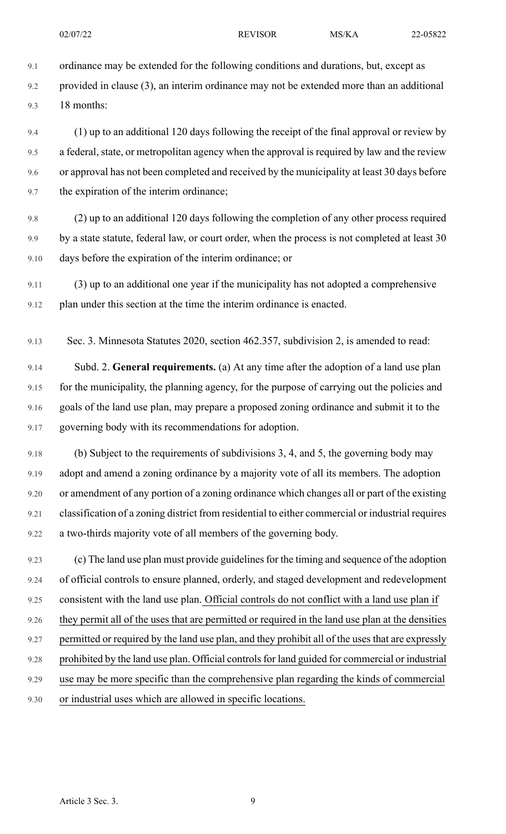9.1 ordinance may be extended for the following conditions and durations, but, except as

9.2 provided in clause (3), an interim ordinance may not be extended more than an additional 9.3 18 months:

9.4 (1) up to an additional 120 days following the receipt of the final approval or review by 9.5 a federal, state, or metropolitan agency when the approval is required by law and the review 9.6 or approval has not been completed and received by the municipality at least 30 days before 9.7 the expiration of the interim ordinance;

- 9.8 (2) up to an additional 120 days following the completion of any other process required 9.9 by a state statute, federal law, or court order, when the process is not completed at least 30 9.10 days before the expiration of the interim ordinance; or
- 9.11 (3) up to an additional one year if the municipality has not adopted a comprehensive 9.12 plan under this section at the time the interim ordinance is enacted.
- 9.13 Sec. 3. Minnesota Statutes 2020, section 462.357, subdivision 2, is amended to read:

9.14 Subd. 2. **General requirements.** (a) At any time after the adoption of a land use plan 9.15 for the municipality, the planning agency, for the purpose of carrying out the policies and 9.16 goals of the land use plan, may prepare a proposed zoning ordinance and submit it to the 9.17 governing body with its recommendations for adoption.

9.18 (b) Subject to the requirements of subdivisions 3, 4, and 5, the governing body may 9.19 adopt and amend a zoning ordinance by a majority vote of all its members. The adoption 9.20 or amendment of any portion of a zoning ordinance which changes all or part of the existing 9.21 classification of a zoning district from residential to either commercial or industrial requires 9.22 a two-thirds majority vote of all members of the governing body.

9.23 (c) The land use plan must provide guidelines for the timing and sequence of the adoption 9.24 of official controls to ensure planned, orderly, and staged development and redevelopment 9.25 consistent with the land use plan. Official controls do not conflict with a land use plan if 9.26 they permit all of the uses that are permitted or required in the land use plan at the densities 9.27 permitted or required by the land use plan, and they prohibit all of the uses that are expressly 9.28 prohibited by the land use plan. Official controls for land guided for commercial or industrial 9.29 use may be more specific than the comprehensive plan regarding the kinds of commercial 9.30 or industrial uses which are allowed in specific locations.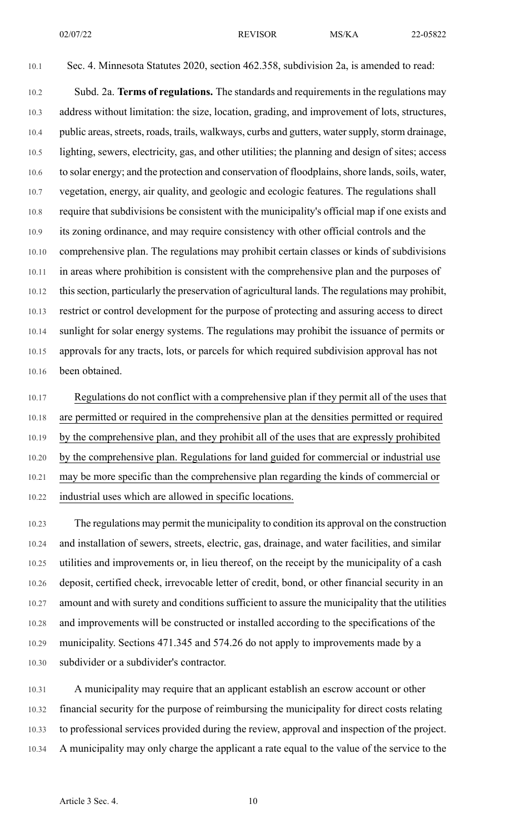10.1 Sec. 4. Minnesota Statutes 2020, section 462.358, subdivision 2a, is amended to read:

10.2 Subd. 2a. **Terms of regulations.** The standards and requirementsin the regulations may 10.3 address without limitation: the size, location, grading, and improvement of lots, structures, 10.4 public areas, streets, roads, trails, walkways, curbs and gutters, water supply, storm drainage, 10.5 lighting, sewers, electricity, gas, and other utilities; the planning and design of sites; access 10.6 to solar energy; and the protection and conservation of floodplains, shore lands, soils, water, 10.7 vegetation, energy, air quality, and geologic and ecologic features. The regulations shall 10.8 require that subdivisions be consistent with the municipality's official map if one exists and 10.9 its zoning ordinance, and may require consistency with other official controls and the 10.10 comprehensive plan. The regulations may prohibit certain classes or kinds of subdivisions 10.11 in areas where prohibition is consistent with the comprehensive plan and the purposes of 10.12 thissection, particularly the preservation of agricultural lands. The regulations may prohibit, 10.13 restrict or control development for the purpose of protecting and assuring access to direct 10.14 sunlight for solar energy systems. The regulations may prohibit the issuance of permits or 10.15 approvals for any tracts, lots, or parcels for which required subdivision approval has not 10.16 been obtained.

10.17 Regulations do not conflict with a comprehensive plan if they permit all of the uses that 10.18 are permitted or required in the comprehensive plan at the densities permitted or required 10.19 by the comprehensive plan, and they prohibit all of the uses that are expressly prohibited 10.20 by the comprehensive plan. Regulations for land guided for commercial or industrial use 10.21 may be more specific than the comprehensive plan regarding the kinds of commercial or 10.22 industrial uses which are allowed in specific locations.

10.23 The regulations may permit the municipality to condition its approval on the construction 10.24 and installation of sewers, streets, electric, gas, drainage, and water facilities, and similar 10.25 utilities and improvements or, in lieu thereof, on the receipt by the municipality of a cash 10.26 deposit, certified check, irrevocable letter of credit, bond, or other financial security in an 10.27 amount and with surety and conditions sufficient to assure the municipality that the utilities 10.28 and improvements will be constructed or installed according to the specifications of the 10.29 municipality. Sections 471.345 and 574.26 do not apply to improvements made by a 10.30 subdivider or a subdivider's contractor.

10.31 A municipality may require that an applicant establish an escrow account or other 10.32 financial security for the purpose of reimbursing the municipality for direct costs relating 10.33 to professional services provided during the review, approval and inspection of the project. 10.34 A municipality may only charge the applicant a rate equal to the value of the service to the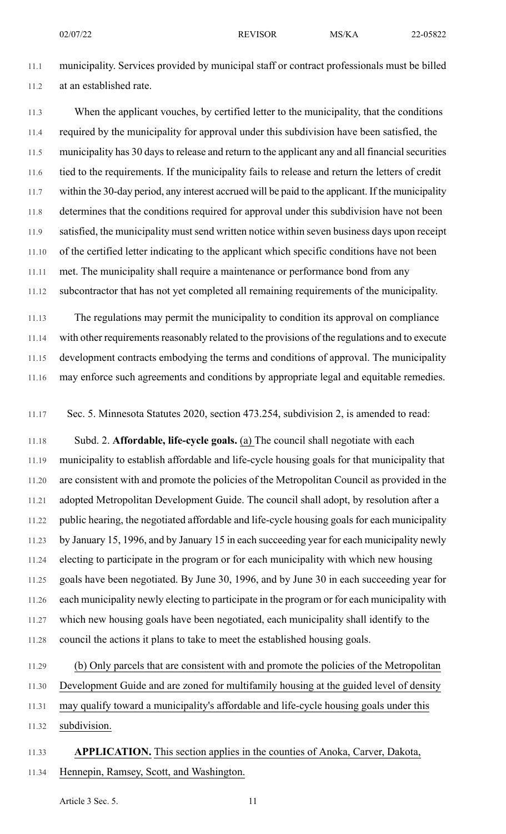11.1 municipality. Services provided by municipal staff or contract professionals must be billed 11.2 at an established rate.

11.3 When the applicant vouches, by certified letter to the municipality, that the conditions 11.4 required by the municipality for approval under this subdivision have been satisfied, the 11.5 municipality has 30 days to release and return to the applicant any and all financial securities 11.6 tied to the requirements. If the municipality fails to release and return the letters of credit 11.7 within the 30-day period, any interest accrued will be paid to the applicant. If the municipality 11.8 determines that the conditions required for approval under this subdivision have not been 11.9 satisfied, the municipality must send written notice within seven business days upon receipt 11.10 of the certified letter indicating to the applicant which specific conditions have not been 11.11 met. The municipality shall require a maintenance or performance bond from any 11.12 subcontractor that has not yet completed all remaining requirements of the municipality.

11.13 The regulations may permit the municipality to condition its approval on compliance 11.14 with other requirements reasonably related to the provisions of the regulations and to execute 11.15 development contracts embodying the terms and conditions of approval. The municipality 11.16 may enforce such agreements and conditions by appropriate legal and equitable remedies.

11.17 Sec. 5. Minnesota Statutes 2020, section 473.254, subdivision 2, is amended to read:

11.18 Subd. 2. **Affordable, life-cycle goals.** (a) The council shall negotiate with each 11.19 municipality to establish affordable and life-cycle housing goals for that municipality that 11.20 are consistent with and promote the policies of the Metropolitan Council as provided in the 11.21 adopted Metropolitan Development Guide. The council shall adopt, by resolution after a 11.22 public hearing, the negotiated affordable and life-cycle housing goals for each municipality 11.23 by January 15, 1996, and by January 15 in each succeeding year for each municipality newly 11.24 electing to participate in the program or for each municipality with which new housing 11.25 goals have been negotiated. By June 30, 1996, and by June 30 in each succeeding year for 11.26 each municipality newly electing to participate in the program or for each municipality with 11.27 which new housing goals have been negotiated, each municipality shall identify to the 11.28 council the actions it plans to take to meet the established housing goals.

11.29 (b) Only parcels that are consistent with and promote the policies of the Metropolitan 11.30 Development Guide and are zoned for multifamily housing at the guided level of density 11.31 may qualify toward a municipality's affordable and life-cycle housing goals under this

11.32 subdivision.

## 11.33 **APPLICATION.** This section applies in the counties of Anoka, Carver, Dakota, 11.34 Hennepin, Ramsey, Scott, and Washington.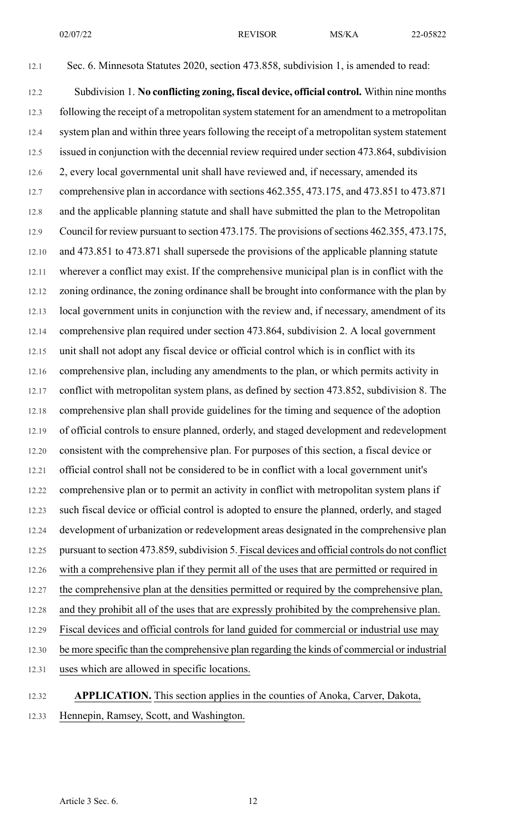12.1 Sec. 6. Minnesota Statutes 2020, section 473.858, subdivision 1, is amended to read: 12.2 Subdivision 1. **No conflicting zoning, fiscal device, official control.** Within nine months 12.3 following the receipt of a metropolitan system statement for an amendment to a metropolitan 12.4 system plan and within three years following the receipt of a metropolitan system statement 12.5 issued in conjunction with the decennial review required under section 473.864, subdivision 12.6 2, every local governmental unit shall have reviewed and, if necessary, amended its 12.7 comprehensive plan in accordance with sections 462.355, 473.175, and 473.851 to 473.871 12.8 and the applicable planning statute and shall have submitted the plan to the Metropolitan 12.9 Council for review pursuant to section 473.175. The provisions of sections 462.355, 473.175, 12.10 and 473.851 to 473.871 shall supersede the provisions of the applicable planning statute 12.11 wherever a conflict may exist. If the comprehensive municipal plan is in conflict with the 12.12 zoning ordinance, the zoning ordinance shall be brought into conformance with the plan by 12.13 local government units in conjunction with the review and, if necessary, amendment of its 12.14 comprehensive plan required under section 473.864, subdivision 2. A local government 12.15 unit shall not adopt any fiscal device or official control which is in conflict with its 12.16 comprehensive plan, including any amendments to the plan, or which permits activity in 12.17 conflict with metropolitan system plans, as defined by section 473.852, subdivision 8. The 12.18 comprehensive plan shall provide guidelines for the timing and sequence of the adoption 12.19 of official controls to ensure planned, orderly, and staged development and redevelopment 12.20 consistent with the comprehensive plan. For purposes of this section, a fiscal device or 12.21 official control shall not be considered to be in conflict with a local government unit's 12.22 comprehensive plan or to permit an activity in conflict with metropolitan system plans if 12.23 such fiscal device or official control is adopted to ensure the planned, orderly, and staged 12.24 development of urbanization or redevelopment areas designated in the comprehensive plan 12.25 pursuant to section 473.859, subdivision 5. Fiscal devices and official controls do not conflict 12.26 with a comprehensive plan if they permit all of the uses that are permitted or required in 12.27 the comprehensive plan at the densities permitted or required by the comprehensive plan, 12.28 and they prohibit all of the uses that are expressly prohibited by the comprehensive plan. 12.29 Fiscal devices and official controls for land guided for commercial or industrial use may 12.30 be more specific than the comprehensive plan regarding the kinds of commercial or industrial 12.31 uses which are allowed in specific locations.

12.32 **APPLICATION.** This section applies in the counties of Anoka, Carver, Dakota, 12.33 Hennepin, Ramsey, Scott, and Washington.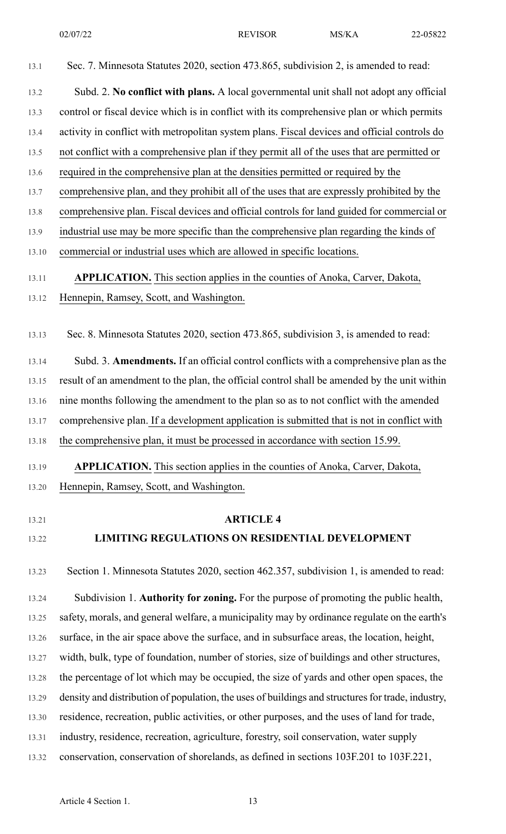| 13.1           | Sec. 7. Minnesota Statutes 2020, section 473.865, subdivision 2, is amended to read:              |
|----------------|---------------------------------------------------------------------------------------------------|
| 13.2           | Subd. 2. No conflict with plans. A local governmental unit shall not adopt any official           |
| 13.3           | control or fiscal device which is in conflict with its comprehensive plan or which permits        |
| 13.4           | activity in conflict with metropolitan system plans. Fiscal devices and official controls do      |
| 13.5           | not conflict with a comprehensive plan if they permit all of the uses that are permitted or       |
| 13.6           | required in the comprehensive plan at the densities permitted or required by the                  |
| 13.7           | comprehensive plan, and they prohibit all of the uses that are expressly prohibited by the        |
| 13.8           | comprehensive plan. Fiscal devices and official controls for land guided for commercial or        |
| 13.9           | industrial use may be more specific than the comprehensive plan regarding the kinds of            |
| 13.10          | commercial or industrial uses which are allowed in specific locations.                            |
| 13.11          | <b>APPLICATION.</b> This section applies in the counties of Anoka, Carver, Dakota,                |
| 13.12          | Hennepin, Ramsey, Scott, and Washington.                                                          |
|                |                                                                                                   |
| 13.13          | Sec. 8. Minnesota Statutes 2020, section 473.865, subdivision 3, is amended to read:              |
| 13.14          | Subd. 3. Amendments. If an official control conflicts with a comprehensive plan as the            |
| 13.15          | result of an amendment to the plan, the official control shall be amended by the unit within      |
| 13.16          | nine months following the amendment to the plan so as to not conflict with the amended            |
| 13.17          | comprehensive plan. If a development application is submitted that is not in conflict with        |
| 13.18          | the comprehensive plan, it must be processed in accordance with section 15.99.                    |
| 13.19          | APPLICATION. This section applies in the counties of Anoka, Carver, Dakota,                       |
| 13.20          | Hennepin, Ramsey, Scott, and Washington.                                                          |
|                | <b>ARTICLE 4</b>                                                                                  |
| 13.21<br>13.22 | LIMITING REGULATIONS ON RESIDENTIAL DEVELOPMENT                                                   |
|                |                                                                                                   |
| 13.23          | Section 1. Minnesota Statutes 2020, section 462.357, subdivision 1, is amended to read:           |
| 13.24          | Subdivision 1. Authority for zoning. For the purpose of promoting the public health,              |
| 13.25          | safety, morals, and general welfare, a municipality may by ordinance regulate on the earth's      |
| 13.26          | surface, in the air space above the surface, and in subsurface areas, the location, height,       |
| 13.27          | width, bulk, type of foundation, number of stories, size of buildings and other structures,       |
| 13.28          | the percentage of lot which may be occupied, the size of yards and other open spaces, the         |
| 13.29          | density and distribution of population, the uses of buildings and structures for trade, industry, |
| 13.30          | residence, recreation, public activities, or other purposes, and the uses of land for trade,      |
| 13.31          | industry, residence, recreation, agriculture, forestry, soil conservation, water supply           |
| 13.32          | conservation, conservation of shorelands, as defined in sections 103F.201 to 103F.221,            |
|                |                                                                                                   |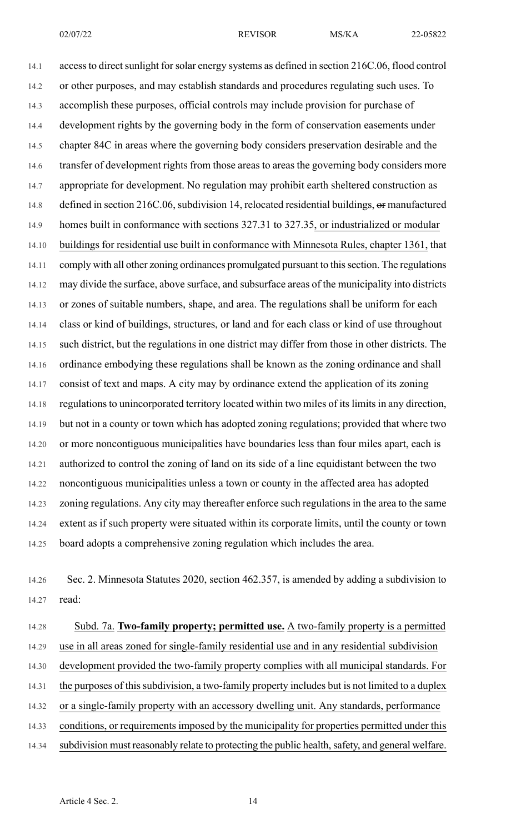14.1 access to direct sunlight for solar energy systems as defined in section 216C.06, flood control 14.2 or other purposes, and may establish standards and procedures regulating such uses. To 14.3 accomplish these purposes, official controls may include provision for purchase of 14.4 development rights by the governing body in the form of conservation easements under 14.5 chapter 84C in areas where the governing body considers preservation desirable and the 14.6 transfer of development rights from those areas to areas the governing body considers more 14.7 appropriate for development. No regulation may prohibit earth sheltered construction as 14.8 defined in section 216C.06, subdivision 14, relocated residential buildings, or manufactured 14.9 homes built in conformance with sections 327.31 to 327.35, or industrialized or modular 14.10 buildings for residential use built in conformance with Minnesota Rules, chapter 1361, that 14.11 comply with all other zoning ordinances promulgated pursuant to this section. The regulations 14.12 may divide the surface, above surface, and subsurface areas of the municipality into districts 14.13 or zones of suitable numbers, shape, and area. The regulations shall be uniform for each 14.14 class or kind of buildings, structures, or land and for each class or kind of use throughout 14.15 such district, but the regulations in one district may differ from those in other districts. The 14.16 ordinance embodying these regulations shall be known as the zoning ordinance and shall 14.17 consist of text and maps. A city may by ordinance extend the application of its zoning 14.18 regulations to unincorporated territory located within two miles of its limits in any direction, 14.19 but not in a county or town which has adopted zoning regulations; provided that where two 14.20 or more noncontiguous municipalities have boundaries less than four miles apart, each is 14.21 authorized to control the zoning of land on its side of a line equidistant between the two 14.22 noncontiguous municipalities unless a town or county in the affected area has adopted 14.23 zoning regulations. Any city may thereafter enforce such regulations in the area to the same 14.24 extent as if such property were situated within its corporate limits, until the county or town 14.25 board adopts a comprehensive zoning regulation which includes the area.

14.26 Sec. 2. Minnesota Statutes 2020, section 462.357, is amended by adding a subdivision to 14.27 read:

14.28 Subd. 7a. **Two-family property; permitted use.** A two-family property is a permitted 14.29 use in all areas zoned for single-family residential use and in any residential subdivision 14.30 development provided the two-family property complies with all municipal standards. For 14.31 the purposes of this subdivision, a two-family property includes but is not limited to a duplex 14.32 or a single-family property with an accessory dwelling unit. Any standards, performance 14.33 conditions, or requirements imposed by the municipality for properties permitted under this 14.34 subdivision must reasonably relate to protecting the public health, safety, and general welfare.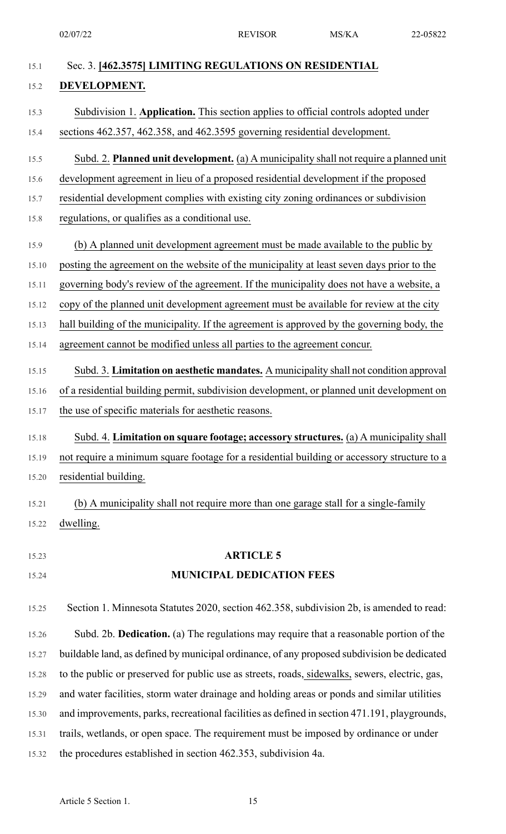| Sec. 3. [462.3575] LIMITING REGULATIONS ON RESIDENTIAL                                         |
|------------------------------------------------------------------------------------------------|
| DEVELOPMENT.                                                                                   |
| Subdivision 1. Application. This section applies to official controls adopted under            |
| sections 462.357, 462.358, and 462.3595 governing residential development.                     |
| Subd. 2. Planned unit development. (a) A municipality shall not require a planned unit         |
| development agreement in lieu of a proposed residential development if the proposed            |
| residential development complies with existing city zoning ordinances or subdivision           |
| regulations, or qualifies as a conditional use.                                                |
| (b) A planned unit development agreement must be made available to the public by               |
| posting the agreement on the website of the municipality at least seven days prior to the      |
| governing body's review of the agreement. If the municipality does not have a website, a       |
| copy of the planned unit development agreement must be available for review at the city        |
| hall building of the municipality. If the agreement is approved by the governing body, the     |
| agreement cannot be modified unless all parties to the agreement concur.                       |
| Subd. 3. Limitation on aesthetic mandates. A municipality shall not condition approval         |
| of a residential building permit, subdivision development, or planned unit development on      |
| the use of specific materials for aesthetic reasons.                                           |
| Subd. 4. Limitation on square footage; accessory structures. (a) A municipality shall          |
| not require a minimum square footage for a residential building or accessory structure to a    |
| residential building.                                                                          |
| (b) A municipality shall not require more than one garage stall for a single-family            |
| dwelling.                                                                                      |
| <b>ARTICLE 5</b>                                                                               |
| <b>MUNICIPAL DEDICATION FEES</b>                                                               |
| Section 1. Minnesota Statutes 2020, section 462.358, subdivision 2b, is amended to read:       |
| Subd. 2b. Dedication. (a) The regulations may require that a reasonable portion of the         |
| buildable land, as defined by municipal ordinance, of any proposed subdivision be dedicated    |
| to the public or preserved for public use as streets, roads, sidewalks, sewers, electric, gas, |
| and water facilities, storm water drainage and holding areas or ponds and similar utilities    |
| and improvements, parks, recreational facilities as defined in section 471.191, playgrounds,   |
| trails, wetlands, or open space. The requirement must be imposed by ordinance or under         |
| the procedures established in section 462.353, subdivision 4a.                                 |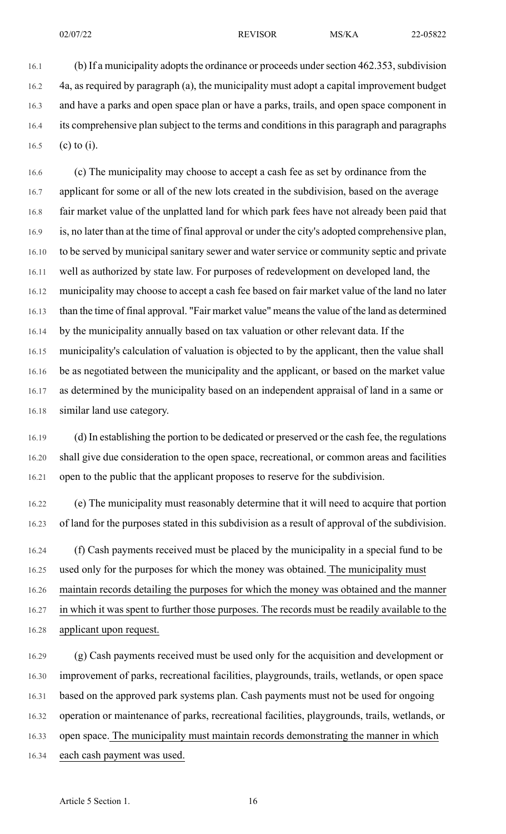16.1 (b) If a municipality adopts the ordinance or proceeds under section 462.353, subdivision 16.2 4a, as required by paragraph (a), the municipality must adopt a capital improvement budget 16.3 and have a parks and open space plan or have a parks, trails, and open space component in 16.4 its comprehensive plan subject to the terms and conditions in this paragraph and paragraphs 16.5 (c) to (i).

16.6 (c) The municipality may choose to accept a cash fee as set by ordinance from the 16.7 applicant for some or all of the new lots created in the subdivision, based on the average 16.8 fair market value of the unplatted land for which park fees have not already been paid that 16.9 is, no later than at the time of final approval or under the city's adopted comprehensive plan, 16.10 to be served by municipal sanitary sewer and water service or community septic and private 16.11 well as authorized by state law. For purposes of redevelopment on developed land, the 16.12 municipality may choose to accept a cash fee based on fair market value of the land no later 16.13 than the time of final approval. "Fair market value" means the value of the land as determined 16.14 by the municipality annually based on tax valuation or other relevant data. If the 16.15 municipality's calculation of valuation is objected to by the applicant, then the value shall 16.16 be as negotiated between the municipality and the applicant, or based on the market value 16.17 as determined by the municipality based on an independent appraisal of land in a same or 16.18 similar land use category.

16.19 (d) In establishing the portion to be dedicated or preserved or the cash fee, the regulations 16.20 shall give due consideration to the open space, recreational, or common areas and facilities 16.21 open to the public that the applicant proposes to reserve for the subdivision.

16.22 (e) The municipality must reasonably determine that it will need to acquire that portion 16.23 of land for the purposes stated in this subdivision as a result of approval of the subdivision.

16.24 (f) Cash payments received must be placed by the municipality in a special fund to be 16.25 used only for the purposes for which the money was obtained. The municipality must 16.26 maintain records detailing the purposes for which the money was obtained and the manner 16.27 in which it was spent to further those purposes. The records must be readily available to the 16.28 applicant upon request.

16.29 (g) Cash payments received must be used only for the acquisition and development or 16.30 improvement of parks, recreational facilities, playgrounds, trails, wetlands, or open space 16.31 based on the approved park systems plan. Cash payments must not be used for ongoing 16.32 operation or maintenance of parks, recreational facilities, playgrounds, trails, wetlands, or 16.33 open space. The municipality must maintain records demonstrating the manner in which 16.34 each cash payment was used.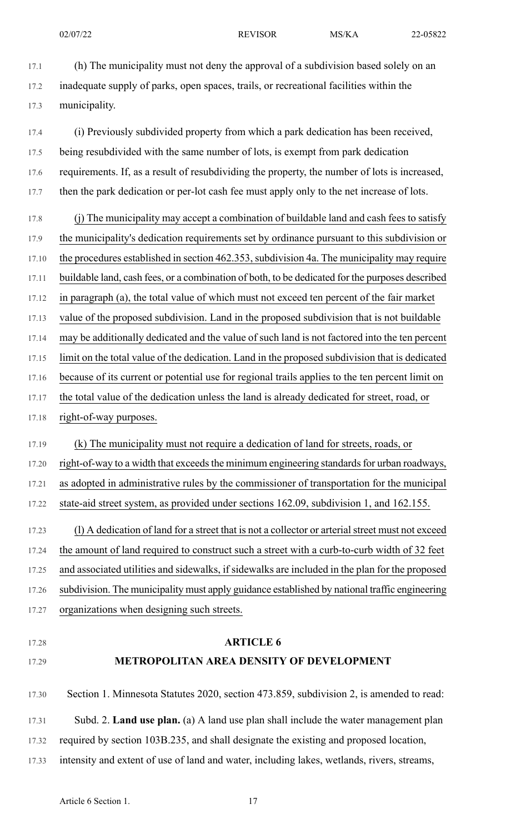17.1 (h) The municipality must not deny the approval of a subdivision based solely on an 17.2 inadequate supply of parks, open spaces, trails, or recreational facilities within the 17.3 municipality.

17.4 (i) Previously subdivided property from which a park dedication has been received, 17.5 being resubdivided with the same number of lots, is exempt from park dedication 17.6 requirements. If, as a result of resubdividing the property, the number of lots is increased, 17.7 then the park dedication or per-lot cash fee must apply only to the net increase of lots.

17.8 (j) The municipality may accept a combination of buildable land and cash fees to satisfy 17.9 the municipality's dedication requirements set by ordinance pursuant to this subdivision or 17.10 the procedures established in section 462.353, subdivision 4a. The municipality may require 17.11 buildable land, cash fees, or a combination of both, to be dedicated for the purposes described 17.12 in paragraph (a), the total value of which must not exceed ten percent of the fair market 17.13 value of the proposed subdivision. Land in the proposed subdivision that is not buildable 17.14 may be additionally dedicated and the value of such land is not factored into the ten percent 17.15 limit on the total value of the dedication. Land in the proposed subdivision that is dedicated 17.16 because of its current or potential use for regional trails applies to the ten percent limit on 17.17 the total value of the dedication unless the land is already dedicated for street, road, or 17.18 right-of-way purposes.

17.19 (k) The municipality must not require a dedication of land for streets, roads, or 17.20 right-of-way to a width that exceeds the minimum engineering standards for urban roadways, 17.21 as adopted in administrative rules by the commissioner of transportation for the municipal 17.22 state-aid street system, as provided under sections 162.09, subdivision 1, and 162.155.

17.23 (l) A dedication of land for a street that is not a collector or arterial street must not exceed 17.24 the amount of land required to construct such a street with a curb-to-curb width of 32 feet 17.25 and associated utilities and sidewalks, if sidewalks are included in the plan for the proposed 17.26 subdivision. The municipality must apply guidance established by national traffic engineering 17.27 organizations when designing such streets.

17.28 **ARTICLE 6**

## 17.29 **METROPOLITAN AREA DENSITY OF DEVELOPMENT**

17.30 Section 1. Minnesota Statutes 2020, section 473.859, subdivision 2, is amended to read: 17.31 Subd. 2. **Land use plan.** (a) A land use plan shall include the water management plan 17.32 required by section 103B.235, and shall designate the existing and proposed location,

17.33 intensity and extent of use of land and water, including lakes, wetlands, rivers, streams,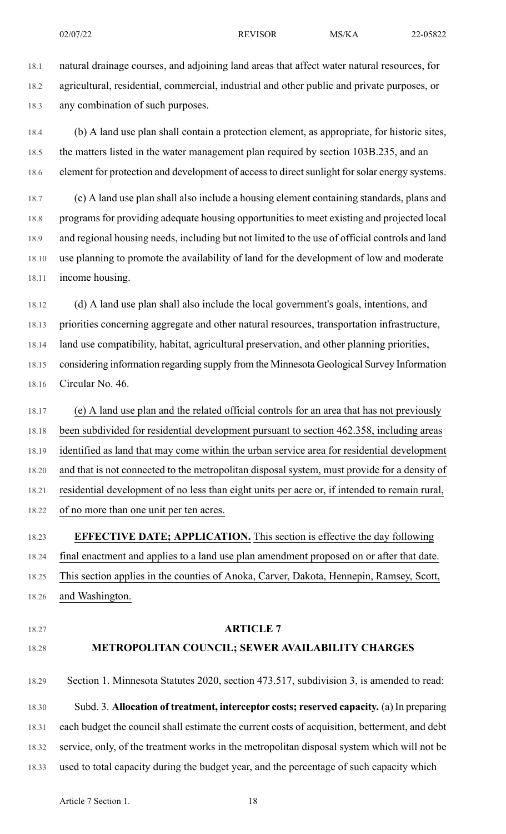18.1 natural drainage courses, and adjoining land areas that affect water natural resources, for 18.2 agricultural, residential, commercial, industrial and other public and private purposes, or 18.3 any combination of such purposes.

18.4 (b) A land use plan shall contain a protection element, as appropriate, for historic sites, 18.5 the matters listed in the water management plan required by section 103B.235, and an 18.6 element for protection and development of access to direct sunlight for solar energy systems.

18.7 (c) A land use plan shall also include a housing element containing standards, plans and 18.8 programs for providing adequate housing opportunities to meet existing and projected local 18.9 and regional housing needs, including but not limited to the use of official controls and land 18.10 use planning to promote the availability of land for the development of low and moderate 18.11 income housing.

18.12 (d) A land use plan shall also include the local government's goals, intentions, and 18.13 priorities concerning aggregate and other natural resources, transportation infrastructure, 18.14 land use compatibility, habitat, agricultural preservation, and other planning priorities, 18.15 considering information regarding supply from the Minnesota Geological Survey Information 18.16 Circular No. 46.

18.17 (e) A land use plan and the related official controls for an area that has not previously 18.18 been subdivided for residential development pursuant to section 462.358, including areas 18.19 identified as land that may come within the urban service area for residential development 18.20 and that is not connected to the metropolitan disposal system, must provide for a density of 18.21 residential development of no less than eight units per acre or, if intended to remain rural, 18.22 of no more than one unit per ten acres.

18.23 **EFFECTIVE DATE; APPLICATION.** This section is effective the day following 18.24 final enactment and applies to a land use plan amendment proposed on or after that date. 18.25 This section applies in the counties of Anoka, Carver, Dakota, Hennepin, Ramsey, Scott, 18.26 and Washington.

- 
- 

## 18.27 **ARTICLE 7** 18.28 **METROPOLITAN COUNCIL; SEWER AVAILABILITY CHARGES**

18.29 Section 1. Minnesota Statutes 2020, section 473.517, subdivision 3, is amended to read: 18.30 Subd. 3. **Allocation of treatment, interceptor costs; reserved capacity.** (a) In preparing 18.31 each budget the council shall estimate the current costs of acquisition, betterment, and debt 18.32 service, only, of the treatment works in the metropolitan disposal system which will not be 18.33 used to total capacity during the budget year, and the percentage of such capacity which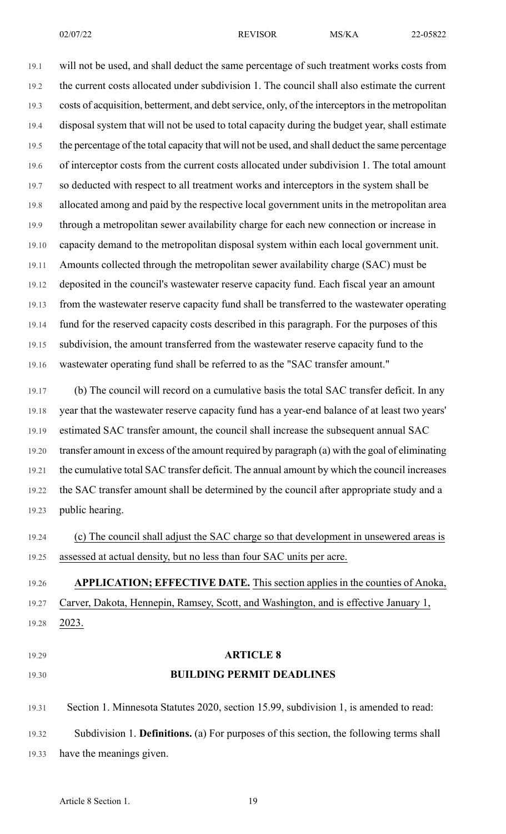19.1 will not be used, and shall deduct the same percentage of such treatment works costs from 19.2 the current costs allocated under subdivision 1. The council shall also estimate the current 19.3 costs of acquisition, betterment, and debt service, only, of the interceptors in the metropolitan 19.4 disposal system that will not be used to total capacity during the budget year, shall estimate 19.5 the percentage of the total capacity that will not be used, and shall deduct the same percentage 19.6 of interceptor costs from the current costs allocated under subdivision 1. The total amount 19.7 so deducted with respect to all treatment works and interceptors in the system shall be 19.8 allocated among and paid by the respective local government units in the metropolitan area 19.9 through a metropolitan sewer availability charge for each new connection or increase in 19.10 capacity demand to the metropolitan disposal system within each local government unit. 19.11 Amounts collected through the metropolitan sewer availability charge (SAC) must be 19.12 deposited in the council's wastewater reserve capacity fund. Each fiscal year an amount 19.13 from the wastewater reserve capacity fund shall be transferred to the wastewater operating 19.14 fund for the reserved capacity costs described in this paragraph. For the purposes of this 19.15 subdivision, the amount transferred from the wastewater reserve capacity fund to the 19.16 wastewater operating fund shall be referred to as the "SAC transfer amount."

19.17 (b) The council will record on a cumulative basis the total SAC transfer deficit. In any 19.18 year that the wastewater reserve capacity fund has a year-end balance of at least two years' 19.19 estimated SAC transfer amount, the council shall increase the subsequent annual SAC 19.20 transfer amount in excess of the amount required by paragraph (a) with the goal of eliminating 19.21 the cumulative total SAC transfer deficit. The annual amount by which the council increases 19.22 the SAC transfer amount shall be determined by the council after appropriate study and a 19.23 public hearing.

19.24 (c) The council shall adjust the SAC charge so that development in unsewered areas is 19.25 assessed at actual density, but no less than four SAC units per acre.

19.26 **APPLICATION; EFFECTIVE DATE.** This section applies in the counties of Anoka, 19.27 Carver, Dakota, Hennepin, Ramsey, Scott, and Washington, and is effective January 1, 19.28 2023.

19.29 **ARTICLE 8** 19.30 **BUILDING PERMIT DEADLINES**

19.31 Section 1. Minnesota Statutes 2020, section 15.99, subdivision 1, is amended to read:

19.32 Subdivision 1. **Definitions.** (a) For purposes of this section, the following terms shall 19.33 have the meanings given.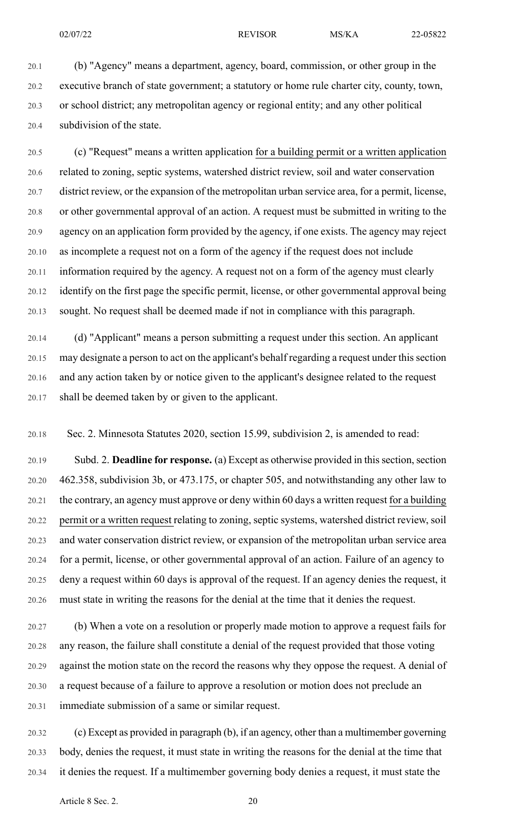20.1 (b) "Agency" means a department, agency, board, commission, or other group in the 20.2 executive branch of state government; a statutory or home rule charter city, county, town,

20.3 or school district; any metropolitan agency or regional entity; and any other political 20.4 subdivision of the state.

20.5 (c) "Request" means a written application for a building permit or a written application 20.6 related to zoning, septic systems, watershed district review, soil and water conservation 20.7 district review, or the expansion of the metropolitan urban service area, for a permit, license, 20.8 or other governmental approval of an action. A request must be submitted in writing to the 20.9 agency on an application form provided by the agency, if one exists. The agency may reject 20.10 as incomplete a request not on a form of the agency if the request does not include 20.11 information required by the agency. A request not on a form of the agency must clearly 20.12 identify on the first page the specific permit, license, or other governmental approval being 20.13 sought. No request shall be deemed made if not in compliance with this paragraph.

20.14 (d) "Applicant" means a person submitting a request under this section. An applicant 20.15 may designate a person to act on the applicant's behalf regarding a request under this section 20.16 and any action taken by or notice given to the applicant's designee related to the request 20.17 shall be deemed taken by or given to the applicant.

20.18 Sec. 2. Minnesota Statutes 2020, section 15.99, subdivision 2, is amended to read:

20.19 Subd. 2. **Deadline for response.** (a) Except as otherwise provided in thissection,section 20.20 462.358, subdivision 3b, or 473.175, or chapter 505, and notwithstanding any other law to 20.21 the contrary, an agency must approve or deny within 60 days a written request for a building 20.22 permit or a written request relating to zoning, septic systems, watershed district review, soil 20.23 and water conservation district review, or expansion of the metropolitan urban service area 20.24 for a permit, license, or other governmental approval of an action. Failure of an agency to 20.25 deny a request within 60 days is approval of the request. If an agency denies the request, it 20.26 must state in writing the reasons for the denial at the time that it denies the request.

20.27 (b) When a vote on a resolution or properly made motion to approve a request fails for 20.28 any reason, the failure shall constitute a denial of the request provided that those voting 20.29 against the motion state on the record the reasons why they oppose the request. A denial of 20.30 a request because of a failure to approve a resolution or motion does not preclude an 20.31 immediate submission of a same or similar request.

20.32 (c) Except as provided in paragraph (b), if an agency, other than a multimember governing 20.33 body, denies the request, it must state in writing the reasons for the denial at the time that 20.34 it denies the request. If a multimember governing body denies a request, it must state the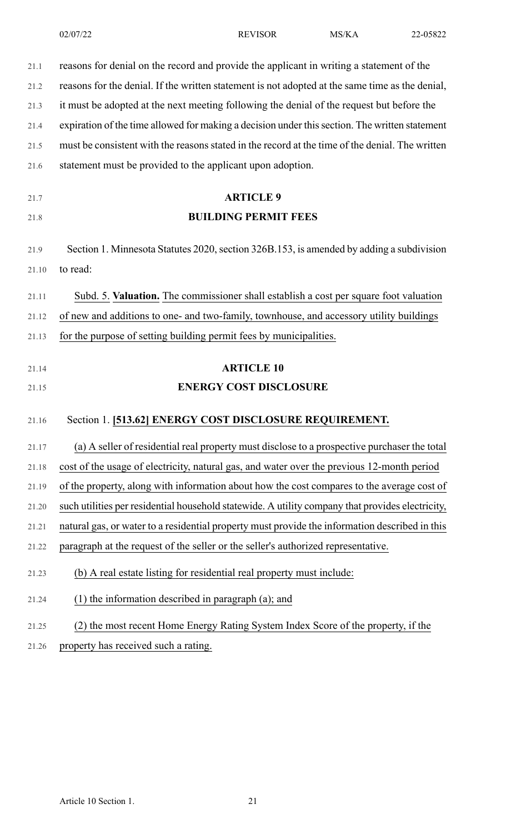| 21.1  | reasons for denial on the record and provide the applicant in writing a statement of the         |
|-------|--------------------------------------------------------------------------------------------------|
| 21.2  | reasons for the denial. If the written statement is not adopted at the same time as the denial,  |
| 21.3  | it must be adopted at the next meeting following the denial of the request but before the        |
| 21.4  | expiration of the time allowed for making a decision under this section. The written statement   |
| 21.5  | must be consistent with the reasons stated in the record at the time of the denial. The written  |
| 21.6  | statement must be provided to the applicant upon adoption.                                       |
| 21.7  | <b>ARTICLE 9</b>                                                                                 |
| 21.8  | <b>BUILDING PERMIT FEES</b>                                                                      |
| 21.9  | Section 1. Minnesota Statutes 2020, section 326B.153, is amended by adding a subdivision         |
| 21.10 | to read:                                                                                         |
| 21.11 | Subd. 5. Valuation. The commissioner shall establish a cost per square foot valuation            |
|       |                                                                                                  |
| 21.12 | of new and additions to one- and two-family, townhouse, and accessory utility buildings          |
| 21.13 | for the purpose of setting building permit fees by municipalities.                               |
| 21.14 | <b>ARTICLE 10</b>                                                                                |
| 21.15 | <b>ENERGY COST DISCLOSURE</b>                                                                    |
| 21.16 | Section 1. [513.62] ENERGY COST DISCLOSURE REQUIREMENT.                                          |
| 21.17 | (a) A seller of residential real property must disclose to a prospective purchaser the total     |
| 21.18 | cost of the usage of electricity, natural gas, and water over the previous 12-month period       |
| 21.19 | of the property, along with information about how the cost compares to the average cost of       |
| 21.20 | such utilities per residential household statewide. A utility company that provides electricity, |
| 21.21 | natural gas, or water to a residential property must provide the information described in this   |
| 21.22 | paragraph at the request of the seller or the seller's authorized representative.                |
| 21.23 | (b) A real estate listing for residential real property must include:                            |
| 21.24 | (1) the information described in paragraph (a); and                                              |
| 21.25 | (2) the most recent Home Energy Rating System Index Score of the property, if the                |

21.26 property has received such a rating.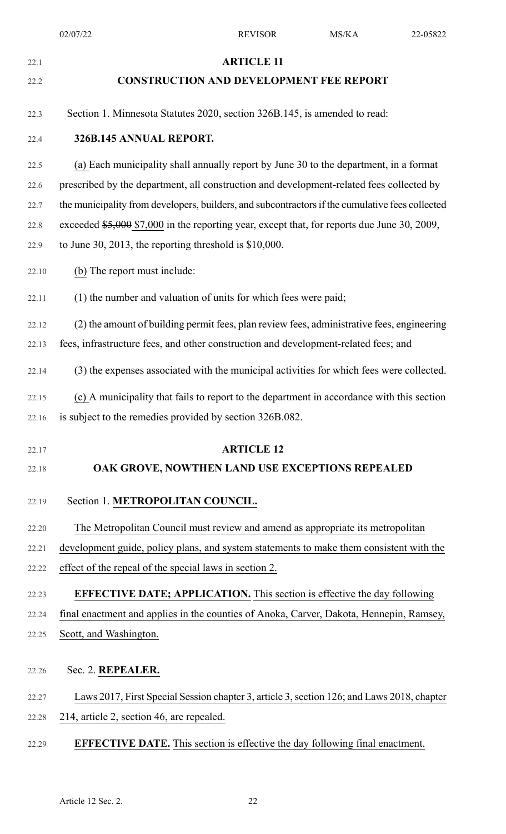| 22.1  | <b>ARTICLE 11</b>                                                                               |
|-------|-------------------------------------------------------------------------------------------------|
| 22.2  | <b>CONSTRUCTION AND DEVELOPMENT FEE REPORT</b>                                                  |
| 22.3  | Section 1. Minnesota Statutes 2020, section 326B.145, is amended to read:                       |
| 22.4  | 326B.145 ANNUAL REPORT.                                                                         |
| 22.5  | (a) Each municipality shall annually report by June 30 to the department, in a format           |
| 22.6  | prescribed by the department, all construction and development-related fees collected by        |
| 22.7  | the municipality from developers, builders, and subcontractors if the cumulative fees collected |
| 22.8  | exceeded \$5,000 \$7,000 in the reporting year, except that, for reports due June 30, 2009,     |
| 22.9  | to June 30, 2013, the reporting threshold is $$10,000$ .                                        |
| 22.10 | (b) The report must include:                                                                    |
| 22.11 | (1) the number and valuation of units for which fees were paid;                                 |
| 22.12 | (2) the amount of building permit fees, plan review fees, administrative fees, engineering      |
| 22.13 | fees, infrastructure fees, and other construction and development-related fees; and             |
| 22.14 | (3) the expenses associated with the municipal activities for which fees were collected.        |
| 22.15 | (c) A municipality that fails to report to the department in accordance with this section       |
|       | 22.16 is subject to the remedies provided by section 326B.082.                                  |
| 22.17 | <b>ARTICLE 12</b>                                                                               |
| 22.18 | OAK GROVE, NOWTHEN LAND USE EXCEPTIONS REPEALED                                                 |
| 22.19 | Section 1. METROPOLITAN COUNCIL.                                                                |
| 22.20 | The Metropolitan Council must review and amend as appropriate its metropolitan                  |
| 22.21 | development guide, policy plans, and system statements to make them consistent with the         |
| 22.22 | effect of the repeal of the special laws in section 2.                                          |
| 22.23 | <b>EFFECTIVE DATE; APPLICATION.</b> This section is effective the day following                 |
| 22.24 | final enactment and applies in the counties of Anoka, Carver, Dakota, Hennepin, Ramsey,         |
| 22.25 | Scott, and Washington.                                                                          |
|       |                                                                                                 |
| 22.26 | Sec. 2. REPEALER.                                                                               |
| 22.27 | Laws 2017, First Special Session chapter 3, article 3, section 126; and Laws 2018, chapter      |
| 22.28 | 214, article 2, section 46, are repealed.                                                       |
| 22.29 | <b>EFFECTIVE DATE.</b> This section is effective the day following final enactment.             |